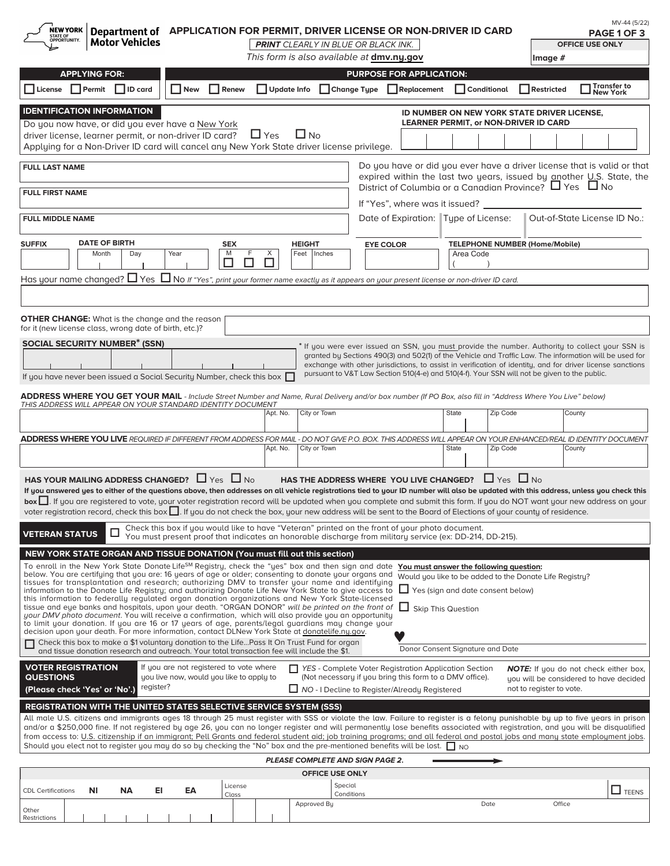| <b>NEW YORK</b><br>Department of APPLICATION FOR PERMIT, DRIVER LICENSE OR NON-DRIVER ID CARD<br>STATE OF<br>OPPORTUNITY.                                                                                                                                                                                                                                                                                                                                                                                                                                                                                                                                                                                                                                                                                                                                                                                                                                                                                                                                                                                                                                                                                                                                                                                                                                |                                  |                                                                                                                                                                                 |                                  |                                                                                             |                          | MV-44 (5/22)<br>PAGE 1 OF 3                                                                                                                                                                                          |
|----------------------------------------------------------------------------------------------------------------------------------------------------------------------------------------------------------------------------------------------------------------------------------------------------------------------------------------------------------------------------------------------------------------------------------------------------------------------------------------------------------------------------------------------------------------------------------------------------------------------------------------------------------------------------------------------------------------------------------------------------------------------------------------------------------------------------------------------------------------------------------------------------------------------------------------------------------------------------------------------------------------------------------------------------------------------------------------------------------------------------------------------------------------------------------------------------------------------------------------------------------------------------------------------------------------------------------------------------------|----------------------------------|---------------------------------------------------------------------------------------------------------------------------------------------------------------------------------|----------------------------------|---------------------------------------------------------------------------------------------|--------------------------|----------------------------------------------------------------------------------------------------------------------------------------------------------------------------------------------------------------------|
| <b>Motor Vehicles</b>                                                                                                                                                                                                                                                                                                                                                                                                                                                                                                                                                                                                                                                                                                                                                                                                                                                                                                                                                                                                                                                                                                                                                                                                                                                                                                                                    |                                  | <b>PRINT</b> CLEARLY IN BLUE OR BLACK INK.                                                                                                                                      |                                  |                                                                                             |                          | <b>OFFICE USE ONLY</b>                                                                                                                                                                                               |
|                                                                                                                                                                                                                                                                                                                                                                                                                                                                                                                                                                                                                                                                                                                                                                                                                                                                                                                                                                                                                                                                                                                                                                                                                                                                                                                                                          |                                  | This form is also available at dmv.ny.gov                                                                                                                                       |                                  |                                                                                             | Image #                  |                                                                                                                                                                                                                      |
| <b>APPLYING FOR:</b>                                                                                                                                                                                                                                                                                                                                                                                                                                                                                                                                                                                                                                                                                                                                                                                                                                                                                                                                                                                                                                                                                                                                                                                                                                                                                                                                     |                                  |                                                                                                                                                                                 | <b>PURPOSE FOR APPLICATION:</b>  |                                                                                             |                          | ∣ Transfer to                                                                                                                                                                                                        |
| $\Box$ License $\Box$ Permit $\Box$ ID card<br>$\Box$ New<br>Renew                                                                                                                                                                                                                                                                                                                                                                                                                                                                                                                                                                                                                                                                                                                                                                                                                                                                                                                                                                                                                                                                                                                                                                                                                                                                                       | □ Update Info                    | □ Change Type □ Replacement                                                                                                                                                     |                                  | $\Box$ Conditional                                                                          | Restricted               | <b>New York</b>                                                                                                                                                                                                      |
| <b>IDENTIFICATION INFORMATION</b><br>Do you now have, or did you ever have a New York<br>driver license, learner permit, or non-driver ID card?<br>Applying for a Non-Driver ID card will cancel any New York State driver license privilege.                                                                                                                                                                                                                                                                                                                                                                                                                                                                                                                                                                                                                                                                                                                                                                                                                                                                                                                                                                                                                                                                                                            | $\Box$ No<br>$\Box$ Yes          |                                                                                                                                                                                 |                                  | ID NUMBER ON NEW YORK STATE DRIVER LICENSE,<br><b>LEARNER PERMIT, or NON-DRIVER ID CARD</b> |                          |                                                                                                                                                                                                                      |
|                                                                                                                                                                                                                                                                                                                                                                                                                                                                                                                                                                                                                                                                                                                                                                                                                                                                                                                                                                                                                                                                                                                                                                                                                                                                                                                                                          |                                  |                                                                                                                                                                                 |                                  |                                                                                             |                          |                                                                                                                                                                                                                      |
| <b>FULL LAST NAME</b><br><b>FULL FIRST NAME</b>                                                                                                                                                                                                                                                                                                                                                                                                                                                                                                                                                                                                                                                                                                                                                                                                                                                                                                                                                                                                                                                                                                                                                                                                                                                                                                          |                                  |                                                                                                                                                                                 |                                  | District of Columbia or a Canadian Province? $\Box$ Yes $\Box$ No                           |                          | Do you have or did you ever have a driver license that is valid or that<br>expired within the last two years, issued by another U.S. State, the                                                                      |
| <b>FULL MIDDLE NAME</b>                                                                                                                                                                                                                                                                                                                                                                                                                                                                                                                                                                                                                                                                                                                                                                                                                                                                                                                                                                                                                                                                                                                                                                                                                                                                                                                                  |                                  |                                                                                                                                                                                 | If "Yes", where was it issued? _ | Date of Expiration: Type of License:                                                        |                          | Out-of-State License ID No.:                                                                                                                                                                                         |
| <b>DATE OF BIRTH</b><br><b>SUFFIX</b><br><b>SEX</b>                                                                                                                                                                                                                                                                                                                                                                                                                                                                                                                                                                                                                                                                                                                                                                                                                                                                                                                                                                                                                                                                                                                                                                                                                                                                                                      | <b>HEIGHT</b>                    |                                                                                                                                                                                 | <b>EYE COLOR</b>                 | <b>TELEPHONE NUMBER (Home/Mobile)</b>                                                       |                          |                                                                                                                                                                                                                      |
| Month<br>Day<br>Year<br>M                                                                                                                                                                                                                                                                                                                                                                                                                                                                                                                                                                                                                                                                                                                                                                                                                                                                                                                                                                                                                                                                                                                                                                                                                                                                                                                                | F<br>X<br>Feet                   | Inches                                                                                                                                                                          |                                  | Area Code                                                                                   |                          |                                                                                                                                                                                                                      |
| $ \blacktriangledown $<br>П<br>$\blacktriangledown$                                                                                                                                                                                                                                                                                                                                                                                                                                                                                                                                                                                                                                                                                                                                                                                                                                                                                                                                                                                                                                                                                                                                                                                                                                                                                                      | П                                |                                                                                                                                                                                 |                                  |                                                                                             |                          |                                                                                                                                                                                                                      |
| Has your name changed? $\Box$ Yes $\Box$ No If "Yes", print your former name exactly as it appears on your present license or non-driver ID card.                                                                                                                                                                                                                                                                                                                                                                                                                                                                                                                                                                                                                                                                                                                                                                                                                                                                                                                                                                                                                                                                                                                                                                                                        |                                  |                                                                                                                                                                                 |                                  |                                                                                             |                          |                                                                                                                                                                                                                      |
|                                                                                                                                                                                                                                                                                                                                                                                                                                                                                                                                                                                                                                                                                                                                                                                                                                                                                                                                                                                                                                                                                                                                                                                                                                                                                                                                                          |                                  |                                                                                                                                                                                 |                                  |                                                                                             |                          |                                                                                                                                                                                                                      |
| <b>OTHER CHANGE:</b> What is the change and the reason<br>for it (new license class, wrong date of birth, etc.)?                                                                                                                                                                                                                                                                                                                                                                                                                                                                                                                                                                                                                                                                                                                                                                                                                                                                                                                                                                                                                                                                                                                                                                                                                                         |                                  |                                                                                                                                                                                 |                                  |                                                                                             |                          |                                                                                                                                                                                                                      |
| <b>SOCIAL SECURITY NUMBER<sup>*</sup> (SSN)</b>                                                                                                                                                                                                                                                                                                                                                                                                                                                                                                                                                                                                                                                                                                                                                                                                                                                                                                                                                                                                                                                                                                                                                                                                                                                                                                          |                                  |                                                                                                                                                                                 |                                  |                                                                                             |                          | If you were ever issued an SSN, you must provide the number. Authority to collect your SSN is                                                                                                                        |
| If you have never been issued a Social Security Number, check this box                                                                                                                                                                                                                                                                                                                                                                                                                                                                                                                                                                                                                                                                                                                                                                                                                                                                                                                                                                                                                                                                                                                                                                                                                                                                                   |                                  | pursuant to V&T Law Section 510(4-e) and 510(4-f). Your SSN will not be given to the public.                                                                                    |                                  |                                                                                             |                          | granted by Sections 490(3) and 502(1) of the Vehicle and Traffic Law. The information will be used for<br>exchange with other jurisdictions, to assist in verification of identity, and for driver license sanctions |
| <b>ADDRESS WHERE YOU GET YOUR MAIL</b> - Include Street Number and Name, Rural Delivery and/or box number (If PO Box, also fill in "Address Where You Live" below)<br>THIS ADDRESS WILL APPEAR ON YOUR STANDARD IDENTITY DOCUMENT                                                                                                                                                                                                                                                                                                                                                                                                                                                                                                                                                                                                                                                                                                                                                                                                                                                                                                                                                                                                                                                                                                                        |                                  |                                                                                                                                                                                 |                                  |                                                                                             |                          |                                                                                                                                                                                                                      |
|                                                                                                                                                                                                                                                                                                                                                                                                                                                                                                                                                                                                                                                                                                                                                                                                                                                                                                                                                                                                                                                                                                                                                                                                                                                                                                                                                          | Apt. No.                         | City or Town                                                                                                                                                                    |                                  | State<br>Zip Code                                                                           |                          | County                                                                                                                                                                                                               |
| ADDRESS WHERE YOU LIVE REQUIRED IF DIFFERENT FROM ADDRESS FOR MAIL - DO NOT GIVE P.O. BOX. THIS ADDRESS WILL APPEAR ON YOUR ENHANCED/REAL ID IDENTITY DOCUMENT                                                                                                                                                                                                                                                                                                                                                                                                                                                                                                                                                                                                                                                                                                                                                                                                                                                                                                                                                                                                                                                                                                                                                                                           |                                  |                                                                                                                                                                                 |                                  |                                                                                             |                          |                                                                                                                                                                                                                      |
|                                                                                                                                                                                                                                                                                                                                                                                                                                                                                                                                                                                                                                                                                                                                                                                                                                                                                                                                                                                                                                                                                                                                                                                                                                                                                                                                                          | Apt. No.                         | City or Town                                                                                                                                                                    |                                  | State<br>Zip Code                                                                           |                          | County                                                                                                                                                                                                               |
| HAS YOUR MAILING ADDRESS CHANGED? $\Box$ Yes $\Box$ No<br>HAS THE ADDRESS WHERE YOU LIVE CHANGED? $\Box$ Yes $\Box$ No<br>If you answered yes to either of the questions above, then addresses on all vehicle registrations tied to your ID number will also be updated with this address, unless you check this<br>box     If you are registered to vote, your voter registration record will be updated when you complete and submit this form. If you do NOT want your new address on your<br>voter registration record, check this box $\Box$ . If you do not check the box, your new address will be sent to the Board of Elections of your county of residence.                                                                                                                                                                                                                                                                                                                                                                                                                                                                                                                                                                                                                                                                                    |                                  |                                                                                                                                                                                 |                                  |                                                                                             |                          |                                                                                                                                                                                                                      |
| Check this box if you would like to have "Veteran" printed on the front of your photo document.<br><b>VETERAN STATUS</b><br>ц<br>You must present proof that indicates an honorable discharge from military service (ex: DD-214, DD-215).                                                                                                                                                                                                                                                                                                                                                                                                                                                                                                                                                                                                                                                                                                                                                                                                                                                                                                                                                                                                                                                                                                                |                                  |                                                                                                                                                                                 |                                  |                                                                                             |                          |                                                                                                                                                                                                                      |
| NEW YORK STATE ORGAN AND TISSUE DONATION (You must fill out this section)                                                                                                                                                                                                                                                                                                                                                                                                                                                                                                                                                                                                                                                                                                                                                                                                                                                                                                                                                                                                                                                                                                                                                                                                                                                                                |                                  |                                                                                                                                                                                 |                                  |                                                                                             |                          |                                                                                                                                                                                                                      |
| To enroll in the New York State Donate LifeSM Registry, check the "yes" box and then sign and date<br>You must answer the following question:<br>below. You are certifying that you are: 16 years of age or older; consenting to donate your organs and<br>Would you like to be added to the Donate Life Registry?<br>tissues for transplantation and research; authorizing DMV to transfer your name and identifying<br>Yes (sign and date consent below)<br>information to the Donate Life Registry; and authorizing Donate Life New York State to give access to<br>this information to federally regulated organ donation organizations and New York State-licensed<br>tissue and eye banks and hospitals, upon your death. "ORGAN DONOR" will be printed on the front of<br>Skip This Question<br>your DMV photo document. You will receive a confirmation, which will also provide you an opportunity<br>to limit your donation. If you are 16 or 17 years of age, parents/legal guardians may change your<br>decision upon your death. For more information, contact DLNew York State at donatelife.ny.gov.<br>Check this box to make a \$1 voluntary donation to the LifePass It On Trust Fund for organ<br>П<br>Donor Consent Signature and Date<br>and tissue donation research and outreach. Your total transaction fee will include the \$1. |                                  |                                                                                                                                                                                 |                                  |                                                                                             |                          |                                                                                                                                                                                                                      |
| <b>VOTER REGISTRATION</b><br>If you are not registered to vote where<br>you live now, would you like to apply to<br><b>QUESTIONS</b><br>register?<br>(Please check 'Yes' or 'No'.)                                                                                                                                                                                                                                                                                                                                                                                                                                                                                                                                                                                                                                                                                                                                                                                                                                                                                                                                                                                                                                                                                                                                                                       |                                  | $\Box$ YES - Complete Voter Registration Application Section<br>(Not necessary if you bring this form to a DMV office).<br>$\Box$ NO - I Decline to Register/Already Registered |                                  |                                                                                             | not to register to vote. | <b>NOTE:</b> If you do not check either box,<br>you will be considered to have decided                                                                                                                               |
| REGISTRATION WITH THE UNITED STATES SELECTIVE SERVICE SYSTEM (SSS)<br>All male U.S. citizens and immigrants ages 18 through 25 must register with SSS or violate the law. Failure to register is a felony punishable by up to five years in prison<br>and/or a \$250,000 fine. If not registered by age 26, you can no longer register and will permanently lose benefits associated with registration, and you will be disqualified<br>from access to: U.S. citizenship if an immigrant; Pell Grants and federal student aid; job training programs; and all federal and postal jobs and many state employment jobs.<br>Should you elect not to register you may do so by checking the "No" box and the pre-mentioned benefits will be lost. $\Box$ No                                                                                                                                                                                                                                                                                                                                                                                                                                                                                                                                                                                                  |                                  |                                                                                                                                                                                 |                                  |                                                                                             |                          |                                                                                                                                                                                                                      |
|                                                                                                                                                                                                                                                                                                                                                                                                                                                                                                                                                                                                                                                                                                                                                                                                                                                                                                                                                                                                                                                                                                                                                                                                                                                                                                                                                          | PLEASE COMPLETE AND SIGN PAGE 2. |                                                                                                                                                                                 |                                  |                                                                                             |                          |                                                                                                                                                                                                                      |
|                                                                                                                                                                                                                                                                                                                                                                                                                                                                                                                                                                                                                                                                                                                                                                                                                                                                                                                                                                                                                                                                                                                                                                                                                                                                                                                                                          |                                  | <b>OFFICE USE ONLY</b>                                                                                                                                                          |                                  |                                                                                             |                          |                                                                                                                                                                                                                      |
| License<br>NI<br><b>NA</b><br>EI<br>EA<br><b>CDL Certifications</b><br>Class                                                                                                                                                                                                                                                                                                                                                                                                                                                                                                                                                                                                                                                                                                                                                                                                                                                                                                                                                                                                                                                                                                                                                                                                                                                                             |                                  | Special<br>Conditions                                                                                                                                                           |                                  |                                                                                             |                          | $\Box$ TEENS                                                                                                                                                                                                         |
| Other<br>Restrictions                                                                                                                                                                                                                                                                                                                                                                                                                                                                                                                                                                                                                                                                                                                                                                                                                                                                                                                                                                                                                                                                                                                                                                                                                                                                                                                                    |                                  | Approved By                                                                                                                                                                     |                                  | Date                                                                                        | Office                   |                                                                                                                                                                                                                      |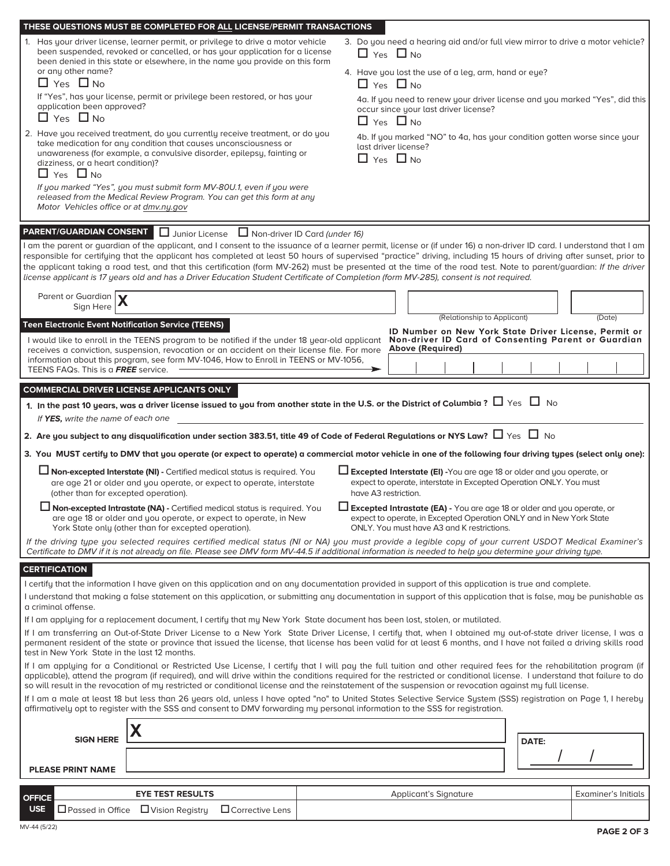| or any other name?<br>$\Box$ Yes $\Box$ No<br>application been approved?<br>$\Box$ Yes $\Box$ No<br>dizziness, or a heart condition)?<br>$\Box$ Yes $\Box$ No<br>Motor Vehicles office or at dmv.ny.gov                                                                                                                                                                                                                                                      | THESE QUESTIONS MUST BE COMPLETED FOR ALL LICENSE/PERMIT TRANSACTIONS<br>1. Has your driver license, learner permit, or privilege to drive a motor vehicle<br>been suspended, revoked or cancelled, or has your application for a license<br>been denied in this state or elsewhere, in the name you provide on this form<br>If "Yes", has your license, permit or privilege been restored, or has your<br>2. Have you received treatment, do you currently receive treatment, or do you<br>take medication for any condition that causes unconsciousness or<br>unawareness (for example, a convulsive disorder, epilepsy, fainting or<br>If you marked "Yes", you must submit form MV-80U.1, even if you were<br>released from the Medical Review Program. You can get this form at any                                                                                                                                                                                                                                                                                                                                                                |  | 3. Do you need a hearing aid and/or full view mirror to drive a motor vehicle?<br>$\Box$ Yes $\Box$ No<br>4. Have you lost the use of a leg, arm, hand or eye?<br>$\Box$ Yes $\Box$ No<br>4a. If you need to renew your driver license and you marked "Yes", did this<br>occur since your last driver license?<br>$\Box$ Yes $\Box$ No<br>4b. If you marked "NO" to 4a, has your condition gotten worse since your<br>last driver license?<br>$\Box$ Yes $\Box$ No |       |                     |
|--------------------------------------------------------------------------------------------------------------------------------------------------------------------------------------------------------------------------------------------------------------------------------------------------------------------------------------------------------------------------------------------------------------------------------------------------------------|---------------------------------------------------------------------------------------------------------------------------------------------------------------------------------------------------------------------------------------------------------------------------------------------------------------------------------------------------------------------------------------------------------------------------------------------------------------------------------------------------------------------------------------------------------------------------------------------------------------------------------------------------------------------------------------------------------------------------------------------------------------------------------------------------------------------------------------------------------------------------------------------------------------------------------------------------------------------------------------------------------------------------------------------------------------------------------------------------------------------------------------------------------|--|--------------------------------------------------------------------------------------------------------------------------------------------------------------------------------------------------------------------------------------------------------------------------------------------------------------------------------------------------------------------------------------------------------------------------------------------------------------------|-------|---------------------|
| Parent or Guardian $\mathbf{X}$<br>Sign Here<br><b>Teen Electronic Event Notification Service (TEENS)</b><br>TEENS FAQs. This is a FREE service.                                                                                                                                                                                                                                                                                                             | PARENT/GUARDIAN CONSENT   Junior License   Non-driver ID Card (under 16)<br>I am the parent or quardian of the applicant, and I consent to the issuance of a learner permit, license or (if under 16) a non-driver ID card. I understand that I am<br>responsible for certifying that the applicant has completed at least 50 hours of supervised "practice" driving, including 15 hours of driving after sunset, prior to<br>the applicant taking a road test, and that this certification (form MV-262) must be presented at the time of the road test. Note to parent/quardian: If the driver<br>license applicant is 17 years old and has a Driver Education Student Certificate of Completion (form MV-285), consent is not required.<br>I would like to enroll in the TEENS program to be notified if the under 18 year-old applicant<br>receives a conviction, suspension, revocation or an accident on their license file. For more<br>information about this program, see form MV-1046, How to Enroll in TEENS or MV-1056,                                                                                                                     |  | (Relationship to Applicant)<br>ID Number on New York State Driver License, Permit or<br>Non-driver ID Card of Consenting Parent or Guardian<br><b>Above (Required)</b>                                                                                                                                                                                                                                                                                             |       | (Date)              |
|                                                                                                                                                                                                                                                                                                                                                                                                                                                              | <b>COMMERCIAL DRIVER LICENSE APPLICANTS ONLY</b>                                                                                                                                                                                                                                                                                                                                                                                                                                                                                                                                                                                                                                                                                                                                                                                                                                                                                                                                                                                                                                                                                                        |  |                                                                                                                                                                                                                                                                                                                                                                                                                                                                    |       |                     |
| If YES, write the name of each one                                                                                                                                                                                                                                                                                                                                                                                                                           | 1. In the past 10 years, was a driver license issued to you from another state in the U.S. or the District of Columbia ? $\Box$ Yes $\ \Box$ No                                                                                                                                                                                                                                                                                                                                                                                                                                                                                                                                                                                                                                                                                                                                                                                                                                                                                                                                                                                                         |  |                                                                                                                                                                                                                                                                                                                                                                                                                                                                    |       |                     |
|                                                                                                                                                                                                                                                                                                                                                                                                                                                              | 2. Are you subject to any disqualification under section 383.51, title 49 of Code of Federal Regulations or NYS Law? $\Box$ Yes $\Box$ No                                                                                                                                                                                                                                                                                                                                                                                                                                                                                                                                                                                                                                                                                                                                                                                                                                                                                                                                                                                                               |  |                                                                                                                                                                                                                                                                                                                                                                                                                                                                    |       |                     |
|                                                                                                                                                                                                                                                                                                                                                                                                                                                              | 3. You MUST certify to DMV that you operate (or expect to operate) a commercial motor vehicle in one of the following four driving types (select only one):                                                                                                                                                                                                                                                                                                                                                                                                                                                                                                                                                                                                                                                                                                                                                                                                                                                                                                                                                                                             |  |                                                                                                                                                                                                                                                                                                                                                                                                                                                                    |       |                     |
| (other than for excepted operation).                                                                                                                                                                                                                                                                                                                                                                                                                         | $\Box$ Non-excepted Interstate (NI) - Certified medical status is required. You<br>are age 21 or older and you operate, or expect to operate, interstate                                                                                                                                                                                                                                                                                                                                                                                                                                                                                                                                                                                                                                                                                                                                                                                                                                                                                                                                                                                                |  | $\Box$ Excepted Interstate (EI) -You are age 18 or older and you operate, or<br>expect to operate, interstate in Excepted Operation ONLY. You must<br>have A3 restriction.                                                                                                                                                                                                                                                                                         |       |                     |
|                                                                                                                                                                                                                                                                                                                                                                                                                                                              | Mon-excepted Intrastate (NA) - Certified medical status is required. You<br>are age 18 or older and you operate, or expect to operate, in New<br>York State only (other than for excepted operation).                                                                                                                                                                                                                                                                                                                                                                                                                                                                                                                                                                                                                                                                                                                                                                                                                                                                                                                                                   |  | Excepted Intrastate (EA) - You are age 18 or older and you operate, or<br>expect to operate, in Excepted Operation ONLY and in New York State<br>ONLY. You must have A3 and K restrictions.                                                                                                                                                                                                                                                                        |       |                     |
|                                                                                                                                                                                                                                                                                                                                                                                                                                                              | If the driving type you selected requires certified medical status (NI or NA) you must provide a legible copy of your current USDOT Medical Examiner's<br>Certificate to DMV if it is not already on file. Please see DMV form MV-44.5 if additional information is needed to help you determine your driving type.                                                                                                                                                                                                                                                                                                                                                                                                                                                                                                                                                                                                                                                                                                                                                                                                                                     |  |                                                                                                                                                                                                                                                                                                                                                                                                                                                                    |       |                     |
| <b>CERTIFICATION</b><br>a criminal offense.<br>test in New York State in the last 12 months.                                                                                                                                                                                                                                                                                                                                                                 | I certify that the information I have given on this application and on any documentation provided in support of this application is true and complete.<br>I understand that making a false statement on this application, or submitting any documentation in support of this application that is false, may be punishable as<br>If I am applying for a replacement document, I certify that my New York State document has been lost, stolen, or mutilated.<br>If I am transferring an Out-of-State Driver License to a New York State Driver License, I certify that, when I obtained my out-of-state driver license, I was a<br>permanent resident of the state or province that issued the license, that license has been valid for at least 6 months, and I have not failed a driving skills road<br>If I am applying for a Conditional or Restricted Use License, I certify that I will pay the full tuition and other required fees for the rehabilitation program (if<br>applicable), attend the program (if required), and will drive within the conditions required for the restricted or conditional license. I understand that failure to do |  |                                                                                                                                                                                                                                                                                                                                                                                                                                                                    |       |                     |
| so will result in the revocation of my restricted or conditional license and the reinstatement of the suspension or revocation against my full license.<br>If I am a male at least 18 but less than 26 years old, unless I have opted "no" to United States Selective Service System (SSS) registration on Page 1, I hereby<br>affirmatively opt to register with the SSS and consent to DMV forwarding my personal information to the SSS for registration. |                                                                                                                                                                                                                                                                                                                                                                                                                                                                                                                                                                                                                                                                                                                                                                                                                                                                                                                                                                                                                                                                                                                                                         |  |                                                                                                                                                                                                                                                                                                                                                                                                                                                                    |       |                     |
|                                                                                                                                                                                                                                                                                                                                                                                                                                                              |                                                                                                                                                                                                                                                                                                                                                                                                                                                                                                                                                                                                                                                                                                                                                                                                                                                                                                                                                                                                                                                                                                                                                         |  |                                                                                                                                                                                                                                                                                                                                                                                                                                                                    |       |                     |
| <b>SIGN HERE</b>                                                                                                                                                                                                                                                                                                                                                                                                                                             |                                                                                                                                                                                                                                                                                                                                                                                                                                                                                                                                                                                                                                                                                                                                                                                                                                                                                                                                                                                                                                                                                                                                                         |  |                                                                                                                                                                                                                                                                                                                                                                                                                                                                    | DATE: |                     |
| <b>PLEASE PRINT NAME</b>                                                                                                                                                                                                                                                                                                                                                                                                                                     |                                                                                                                                                                                                                                                                                                                                                                                                                                                                                                                                                                                                                                                                                                                                                                                                                                                                                                                                                                                                                                                                                                                                                         |  |                                                                                                                                                                                                                                                                                                                                                                                                                                                                    |       |                     |
|                                                                                                                                                                                                                                                                                                                                                                                                                                                              | <b>EYE TEST RESULTS</b>                                                                                                                                                                                                                                                                                                                                                                                                                                                                                                                                                                                                                                                                                                                                                                                                                                                                                                                                                                                                                                                                                                                                 |  | <b>Applicant's Signature</b>                                                                                                                                                                                                                                                                                                                                                                                                                                       |       | Examiner's Initials |
| <b>OFFICE</b><br><b>USE</b>                                                                                                                                                                                                                                                                                                                                                                                                                                  | $\Box$ Passed in Office $\Box$ Vision Registry<br>$\Box$ Corrective Lens                                                                                                                                                                                                                                                                                                                                                                                                                                                                                                                                                                                                                                                                                                                                                                                                                                                                                                                                                                                                                                                                                |  |                                                                                                                                                                                                                                                                                                                                                                                                                                                                    |       |                     |
|                                                                                                                                                                                                                                                                                                                                                                                                                                                              |                                                                                                                                                                                                                                                                                                                                                                                                                                                                                                                                                                                                                                                                                                                                                                                                                                                                                                                                                                                                                                                                                                                                                         |  |                                                                                                                                                                                                                                                                                                                                                                                                                                                                    |       |                     |

ī